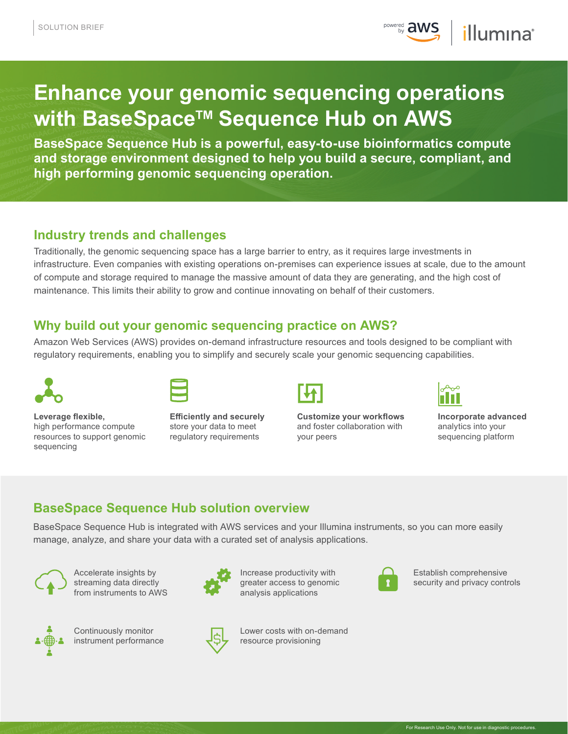**POWEred aws** *illumina*<sup>®</sup>

# **Enhance your genomic sequencing operations with BaseSpace™ Sequence Hub on AWS**

**BaseSpace Sequence Hub is a powerful, easy-to-use bioinformatics compute and storage environment designed to help you build a secure, compliant, and high performing genomic sequencing operation.** 

## **Industry trends and challenges**

Traditionally, the genomic sequencing space has a large barrier to entry, as it requires large investments in infrastructure. Even companies with existing operations on-premises can experience issues at scale, due to the amount of compute and storage required to manage the massive amount of data they are generating, and the high cost of maintenance. This limits their ability to grow and continue innovating on behalf of their customers.

# **Why build out your genomic sequencing practice on AWS?**

Amazon Web Services (AWS) provides on-demand infrastructure resources and tools designed to be compliant with regulatory requirements, enabling you to simplify and securely scale your genomic sequencing capabilities.



**Leverage flexible,**  high performance compute resources to support genomic sequencing



**Efficiently and securely** store your data to meet regulatory requirements



**Customize your workflows** and foster collaboration with your peers



**Incorporate advanced** analytics into your sequencing platform

# **BaseSpace Sequence Hub solution overview**

BaseSpace Sequence Hub is integrated with AWS services and your Illumina instruments, so you can more easily manage, analyze, and share your data with a curated set of analysis applications.



Accelerate insights by streaming data directly from instruments to AWS



Continuously monitor instrument performance



Increase productivity with greater access to genomic analysis applications



Lower costs with on-demand resource provisioning



Establish comprehensive security and privacy controls